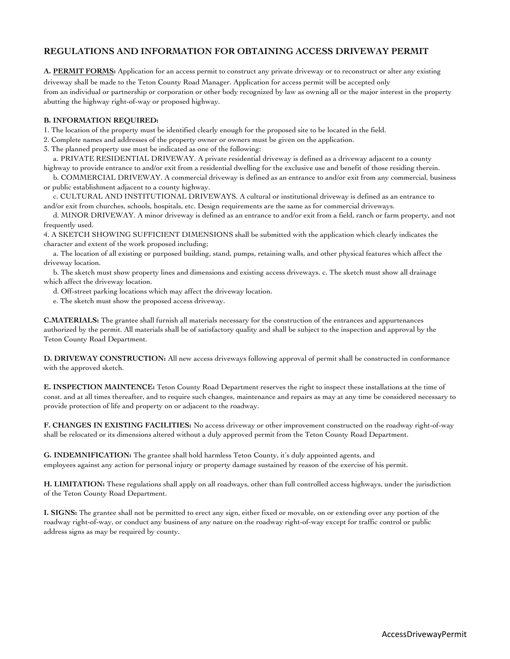## **REGULATIONS AND INFORMATION FOR OBTAINING ACCESS DRIVEWAY PERMIT**

**A. PERMIT FORMS:** Application for an access permit to construct any private driveway or to reconstruct or alter any existing driveway shall be made to the Teton County Road Manager. Application for access permit will be accepted only from an individual or partnership or corporation or other body recognized by law as owning all or the major interest in the property abutting the highway right-of-way or proposed highway.

## **B. INFORMATION REQUIRED:**

1. The location of the property must be identified clearly enough for the proposed site to be located in the field.

2. Complete names and addresses of the property owner or owners must be given on the application.

3. The planned property use must be indicated as one of the following:

 a. PRIVATE RESIDENTIAL DRIVEWAY. A private residential driveway is defined as a driveway adjacent to a county highway to provide entrance to and/or exit from a residential dwelling for the exclusive use and benefit of those residing therein.

 b. COMMERCIAL DRIVEWAY. A commercial driveway is defined as an entrance to and/or exit from any commercial, business or public establishment adjacent to a county highway.

 c. CULTURAL AND INSTITUTIONAL DRIVEWAYS. A cultural or institutional driveway is defined as an entrance to and/or exit from churches, schools, hospitals, etc. Design requirements are the same as for commercial driveways.

 d. MINOR DRIVEWAY. A minor driveway is defined as an entrance to and/or exit from a field, ranch or farm property, and not frequently used.

4. A SKETCH SHOWING SUFFICIENT DIMENSIONS shall be submitted with the application which clearly indicates the character and extent of the work proposed including;

 a. The location of all existing or purposed building, stand, pumps, retaining walls, and other physical features which affect the driveway location.

 b. The sketch must show property lines and dimensions and existing access driveways. c. The sketch must show all drainage which affect the driveway location.

d. Off-street parking locations which may affect the driveway location.

e. The sketch must show the proposed access driveway.

**C.MATERIALS:** The grantee shall furnish all materials necessary for the construction of the entrances and appurtenances authorized by the permit. All materials shall be of satisfactory quality and shall be subject to the inspection and approval by the Teton County Road Department.

**D. DRIVEWAY CONSTRUCTION:** All new access driveways following approval of permit shall be constructed in conformance with the approved sketch.

**E. INSPECTION MAINTENCE:** Teton County Road Department reserves the right to inspect these installations at the time of const. and at all times thereafter, and to require such changes, maintenance and repairs as may at any time be considered necessary to provide protection of life and property on or adjacent to the roadway.

**F. CHANGES IN EXISTING FACILITIES:** No access driveway or other improvement constructed on the roadway right-of-way shall be relocated or its dimensions altered without a duly approved permit from the Teton County Road Department.

**G. INDEMNIFICATION:** The grantee shall hold harmless Teton County, it's duly appointed agents, and employees against any action for personal injury or property damage sustained by reason of the exercise of his permit.

**H. LIMITATION:** These regulations shall apply on all roadways, other than full controlled access highways, under the jurisdiction of the Teton County Road Department.

**I. SIGNS:** The grantee shall not be permitted to erect any sign, either fixed or movable, on or extending over any portion of the roadway right-of-way, or conduct any business of any nature on the roadway right-of-way except for traffic control or public address signs as may be required by county.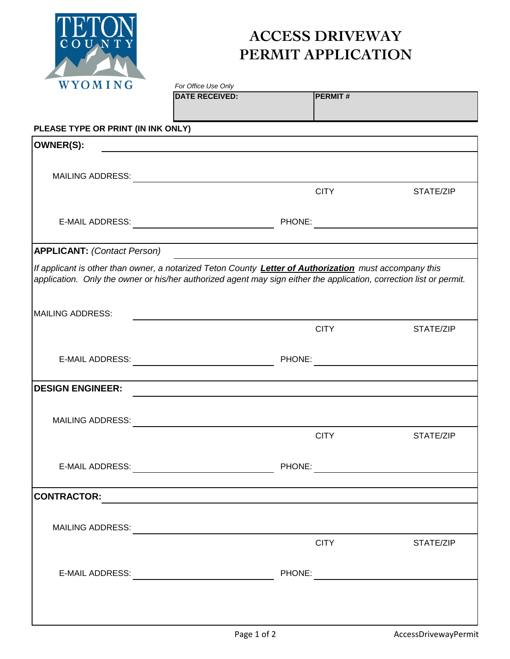

## **ACCESS DRIVEWAY PERMIT APPLICATION**

| WYOMING                                                                                                             | For Office Use Only                                                                                                   |        |                |           |
|---------------------------------------------------------------------------------------------------------------------|-----------------------------------------------------------------------------------------------------------------------|--------|----------------|-----------|
|                                                                                                                     | <b>DATE RECEIVED:</b>                                                                                                 |        | <b>PERMIT#</b> |           |
| PLEASE TYPE OR PRINT (IN INK ONLY)                                                                                  |                                                                                                                       |        |                |           |
| <b>OWNER(S):</b>                                                                                                    | <u> 1980 - Jan Stein Stein Stein Stein Stein Stein Stein Stein Stein Stein Stein Stein Stein Stein Stein Stein S</u>  |        |                |           |
|                                                                                                                     |                                                                                                                       |        |                |           |
|                                                                                                                     |                                                                                                                       |        |                |           |
|                                                                                                                     |                                                                                                                       |        | <b>CITY</b>    | STATE/ZIP |
|                                                                                                                     |                                                                                                                       |        |                |           |
|                                                                                                                     |                                                                                                                       |        |                |           |
|                                                                                                                     |                                                                                                                       |        |                |           |
| <b>APPLICANT: (Contact Person)</b>                                                                                  |                                                                                                                       |        |                |           |
| If applicant is other than owner, a notarized Teton County Letter of Authorization must accompany this              |                                                                                                                       |        |                |           |
| application. Only the owner or his/her authorized agent may sign either the application, correction list or permit. |                                                                                                                       |        |                |           |
|                                                                                                                     |                                                                                                                       |        |                |           |
| MAILING ADDRESS:                                                                                                    |                                                                                                                       |        |                |           |
|                                                                                                                     |                                                                                                                       |        | <b>CITY</b>    | STATE/ZIP |
|                                                                                                                     |                                                                                                                       |        |                |           |
| <b>E-MAIL ADDRESS:</b>                                                                                              |                                                                                                                       | PHONE: |                |           |
|                                                                                                                     |                                                                                                                       |        |                |           |
| <b>DESIGN ENGINEER:</b>                                                                                             |                                                                                                                       |        |                |           |
|                                                                                                                     |                                                                                                                       |        |                |           |
| <b>MAILING ADDRESS:</b>                                                                                             |                                                                                                                       |        |                |           |
|                                                                                                                     |                                                                                                                       |        | <b>CITY</b>    | STATE/ZIP |
|                                                                                                                     |                                                                                                                       |        |                |           |
|                                                                                                                     |                                                                                                                       |        |                |           |
| <b>CONTRACTOR:</b>                                                                                                  |                                                                                                                       |        |                |           |
|                                                                                                                     | <u> 1989 - John Harry Harry Harry Harry Harry Harry Harry Harry Harry Harry Harry Harry Harry Harry Harry Harry H</u> |        |                |           |
|                                                                                                                     |                                                                                                                       |        |                |           |
|                                                                                                                     |                                                                                                                       |        | <b>CITY</b>    | STATE/ZIP |
|                                                                                                                     |                                                                                                                       |        |                |           |
|                                                                                                                     |                                                                                                                       |        |                |           |
|                                                                                                                     |                                                                                                                       |        |                |           |
|                                                                                                                     |                                                                                                                       |        |                |           |
|                                                                                                                     |                                                                                                                       |        |                |           |